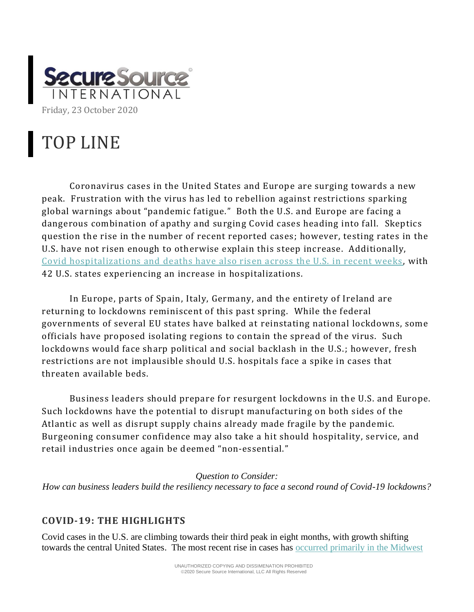

## TOP LINE

Coronavirus cases in the United States and Europe are surging towards a new peak. Frustration with the virus has led to rebellion against restrictions sparking global warnings about "pandemic fatigue." Both the U.S. and Europe are facing a dangerous combination of apathy and surging Covid cases heading into fall. Skeptics question the rise in the number of recent reported cases; however, testing rates in the U.S. have not risen enough to otherwise explain this steep increase. Additionally, [Covid hospitalizations and deaths have also risen across the U.S. in recent weeks](https://www.theatlantic.com/science/archive/2020/10/coronavirus-third-surge/616750/?utm_source=newsletter&utm_medium=email&utm_campaign=atlantic-daily-newsletter&utm_content=20201019&silverid-ref=NjUyMDM3MjI1NjQ4S0) , with 42 U.S. states experiencing an increase in hospitalizations.

In Europe, parts of Spain, Italy, Germany, and the entirety of Ireland are returning to lockdowns reminiscent of this past spring. While the federal governments of several EU states have balked at reinstating national lockdowns, some officials have proposed isolating regions to contain the spread of the virus. Such lockdowns would face sharp political and social backlash in the U.S.; however, fresh restrictions are not implausible should U.S. hospitals face a spike in cases that threaten available beds.

Business leaders should prepare for resurgent lockdowns in the U.S. and Europe. Such lockdowns have the potential to disrupt manufacturing on both sides of the Atlantic as well as disrupt supply chains already made fragile by the pandemic. Burgeoning consumer confidence may also take a hit should hospitality, service, and retail industries once again be deemed "non-essential."

## *Question to Consider:*

*How can business leaders build the resiliency necessary to face a second round of Covid-19 lockdowns?*

## **COVID-19: THE HIGHLIGHTS**

Covid cases in the U.S. are climbing towards their third peak in eight months, with growth shifting towards the central United States. The most recent rise in cases has [occurred primarily in the Midwest](https://www.nytimes.com/interactive/2020/10/15/us/coronavirus-cases-us-surge.html?campaign_id=154&emc=edit_cb_20201019&instance_id=23285&nl=coronavirus-briefing®i_id=125234924&segment_id=41537&te=1&user_id=ef951501096fac815b2c4160edd0a3b8)